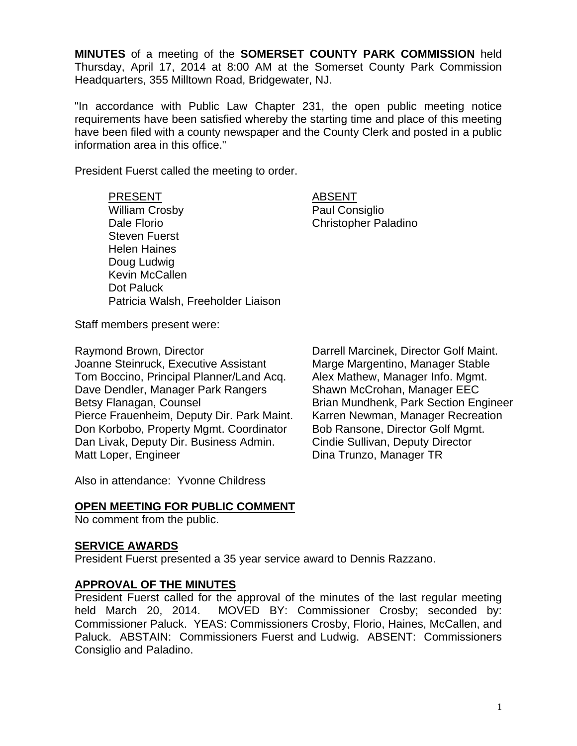**MINUTES** of a meeting of the **SOMERSET COUNTY PARK COMMISSION** held Thursday, April 17, 2014 at 8:00 AM at the Somerset County Park Commission Headquarters, 355 Milltown Road, Bridgewater, NJ.

"In accordance with Public Law Chapter 231, the open public meeting notice requirements have been satisfied whereby the starting time and place of this meeting have been filed with a county newspaper and the County Clerk and posted in a public information area in this office."

President Fuerst called the meeting to order.

# PRESENT ABSENT

Steven Fuerst Helen Haines Doug Ludwig Kevin McCallen Dot Paluck

William Crosby **Paul Consiglio** Dale Florio Christopher Paladino

Staff members present were:

Raymond Brown, Director Darrell Marcinek, Director Golf Maint. Joanne Steinruck, Executive Assistant Marge Margentino, Manager Stable Tom Boccino, Principal Planner/Land Acq. Alex Mathew, Manager Info. Mgmt. Dave Dendler, Manager Park Rangers Shawn McCrohan, Manager EEC Betsy Flanagan, Counsel **Brian Mundhenk, Park Section Engineer** Pierce Frauenheim, Deputy Dir. Park Maint. Karren Newman, Manager Recreation Don Korbobo, Property Mgmt. Coordinator Bob Ransone, Director Golf Mgmt. Dan Livak, Deputy Dir. Business Admin. Cindie Sullivan, Deputy Director Matt Loper, Engineer **Dina Trunzo**, Manager TR

Patricia Walsh, Freeholder Liaison

Also in attendance: Yvonne Childress

#### **OPEN MEETING FOR PUBLIC COMMENT**

No comment from the public.

#### **SERVICE AWARDS**

President Fuerst presented a 35 year service award to Dennis Razzano.

#### **APPROVAL OF THE MINUTES**

President Fuerst called for the approval of the minutes of the last regular meeting held March 20, 2014. MOVED BY: Commissioner Crosby; seconded by: Commissioner Paluck. YEAS: Commissioners Crosby, Florio, Haines, McCallen, and Paluck. ABSTAIN: Commissioners Fuerst and Ludwig. ABSENT: Commissioners Consiglio and Paladino.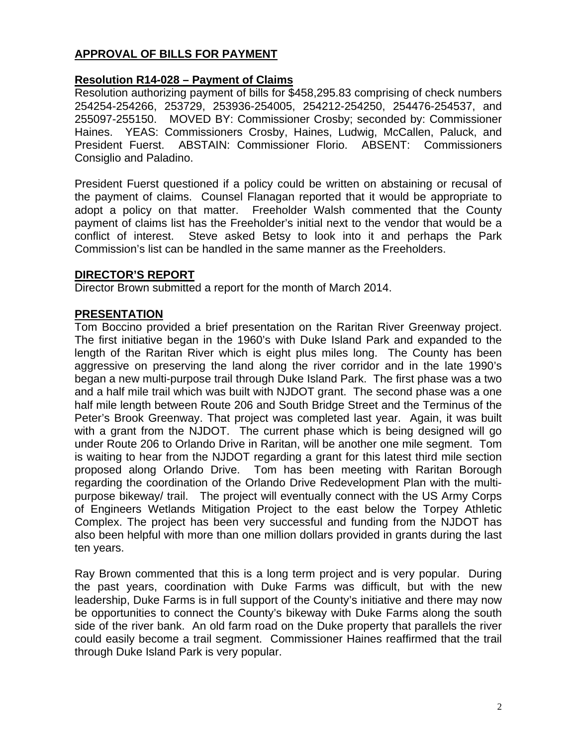# **APPROVAL OF BILLS FOR PAYMENT**

## **Resolution R14-028 – Payment of Claims**

Resolution authorizing payment of bills for \$458,295.83 comprising of check numbers 254254-254266, 253729, 253936-254005, 254212-254250, 254476-254537, and 255097-255150. MOVED BY: Commissioner Crosby; seconded by: Commissioner Haines. YEAS: Commissioners Crosby, Haines, Ludwig, McCallen, Paluck, and President Fuerst. ABSTAIN: Commissioner Florio. ABSENT: Commissioners Consiglio and Paladino.

President Fuerst questioned if a policy could be written on abstaining or recusal of the payment of claims. Counsel Flanagan reported that it would be appropriate to adopt a policy on that matter. Freeholder Walsh commented that the County payment of claims list has the Freeholder's initial next to the vendor that would be a conflict of interest. Steve asked Betsy to look into it and perhaps the Park Commission's list can be handled in the same manner as the Freeholders.

#### **DIRECTOR'S REPORT**

Director Brown submitted a report for the month of March 2014.

## **PRESENTATION**

Tom Boccino provided a brief presentation on the Raritan River Greenway project. The first initiative began in the 1960's with Duke Island Park and expanded to the length of the Raritan River which is eight plus miles long. The County has been aggressive on preserving the land along the river corridor and in the late 1990's began a new multi-purpose trail through Duke Island Park. The first phase was a two and a half mile trail which was built with NJDOT grant. The second phase was a one half mile length between Route 206 and South Bridge Street and the Terminus of the Peter's Brook Greenway. That project was completed last year. Again, it was built with a grant from the NJDOT. The current phase which is being designed will go under Route 206 to Orlando Drive in Raritan, will be another one mile segment. Tom is waiting to hear from the NJDOT regarding a grant for this latest third mile section proposed along Orlando Drive. Tom has been meeting with Raritan Borough regarding the coordination of the Orlando Drive Redevelopment Plan with the multipurpose bikeway/ trail. The project will eventually connect with the US Army Corps of Engineers Wetlands Mitigation Project to the east below the Torpey Athletic Complex. The project has been very successful and funding from the NJDOT has also been helpful with more than one million dollars provided in grants during the last ten years.

Ray Brown commented that this is a long term project and is very popular. During the past years, coordination with Duke Farms was difficult, but with the new leadership, Duke Farms is in full support of the County's initiative and there may now be opportunities to connect the County's bikeway with Duke Farms along the south side of the river bank. An old farm road on the Duke property that parallels the river could easily become a trail segment. Commissioner Haines reaffirmed that the trail through Duke Island Park is very popular.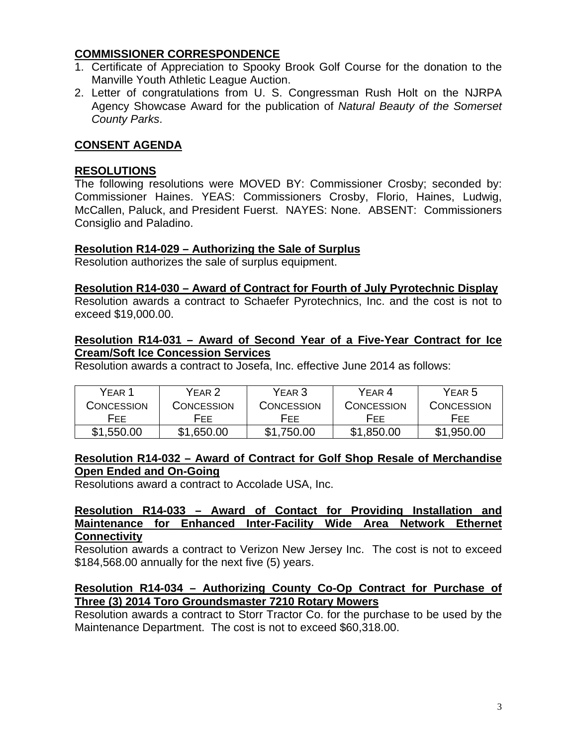## **COMMISSIONER CORRESPONDENCE**

- 1. Certificate of Appreciation to Spooky Brook Golf Course for the donation to the Manville Youth Athletic League Auction.
- 2. Letter of congratulations from U. S. Congressman Rush Holt on the NJRPA Agency Showcase Award for the publication of *Natural Beauty of the Somerset County Parks*.

## **CONSENT AGENDA**

#### **RESOLUTIONS**

The following resolutions were MOVED BY: Commissioner Crosby; seconded by: Commissioner Haines. YEAS: Commissioners Crosby, Florio, Haines, Ludwig, McCallen, Paluck, and President Fuerst. NAYES: None. ABSENT: Commissioners Consiglio and Paladino.

#### **Resolution R14-029 – Authorizing the Sale of Surplus**

Resolution authorizes the sale of surplus equipment.

#### **Resolution R14-030 – Award of Contract for Fourth of July Pyrotechnic Display**

Resolution awards a contract to Schaefer Pyrotechnics, Inc. and the cost is not to exceed \$19,000.00.

#### **Resolution R14-031 – Award of Second Year of a Five-Year Contract for Ice Cream/Soft Ice Concession Services**

Resolution awards a contract to Josefa, Inc. effective June 2014 as follows:

| YFAR 1     | YFAR 2     | YEAR 3     | YEAR <sub>4</sub> | YEAR 5            |
|------------|------------|------------|-------------------|-------------------|
| CONCESSION | CONCESSION | CONCESSION | CONCESSION        | <b>CONCESSION</b> |
| FFF.       | HFF.       | FFF.       | HEE.              | <b>FFF</b>        |
| \$1,550.00 | \$1,650.00 | \$1,750.00 | \$1,850.00        | \$1,950.00        |

#### **Resolution R14-032 – Award of Contract for Golf Shop Resale of Merchandise Open Ended and On-Going**

Resolutions award a contract to Accolade USA, Inc.

#### **Resolution R14-033 – Award of Contact for Providing Installation and Maintenance for Enhanced Inter-Facility Wide Area Network Ethernet Connectivity**

Resolution awards a contract to Verizon New Jersey Inc. The cost is not to exceed \$184,568.00 annually for the next five (5) years.

## **Resolution R14-034 – Authorizing County Co-Op Contract for Purchase of Three (3) 2014 Toro Groundsmaster 7210 Rotary Mowers**

Resolution awards a contract to Storr Tractor Co. for the purchase to be used by the Maintenance Department. The cost is not to exceed \$60,318.00.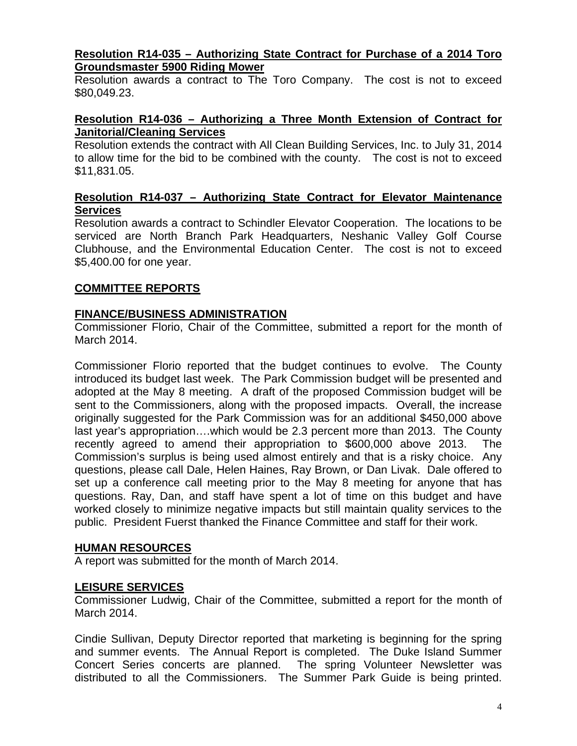#### **Resolution R14-035 – Authorizing State Contract for Purchase of a 2014 Toro Groundsmaster 5900 Riding Mower**

Resolution awards a contract to The Toro Company. The cost is not to exceed \$80,049.23.

## **Resolution R14-036 – Authorizing a Three Month Extension of Contract for Janitorial/Cleaning Services**

Resolution extends the contract with All Clean Building Services, Inc. to July 31, 2014 to allow time for the bid to be combined with the county. The cost is not to exceed \$11,831.05.

## **Resolution R14-037 – Authorizing State Contract for Elevator Maintenance Services**

Resolution awards a contract to Schindler Elevator Cooperation. The locations to be serviced are North Branch Park Headquarters, Neshanic Valley Golf Course Clubhouse, and the Environmental Education Center. The cost is not to exceed \$5,400.00 for one year.

# **COMMITTEE REPORTS**

# **FINANCE/BUSINESS ADMINISTRATION**

Commissioner Florio, Chair of the Committee, submitted a report for the month of March 2014.

Commissioner Florio reported that the budget continues to evolve. The County introduced its budget last week. The Park Commission budget will be presented and adopted at the May 8 meeting. A draft of the proposed Commission budget will be sent to the Commissioners, along with the proposed impacts. Overall, the increase originally suggested for the Park Commission was for an additional \$450,000 above last year's appropriation….which would be 2.3 percent more than 2013. The County recently agreed to amend their appropriation to \$600,000 above 2013. The Commission's surplus is being used almost entirely and that is a risky choice. Any questions, please call Dale, Helen Haines, Ray Brown, or Dan Livak. Dale offered to set up a conference call meeting prior to the May 8 meeting for anyone that has questions. Ray, Dan, and staff have spent a lot of time on this budget and have worked closely to minimize negative impacts but still maintain quality services to the public. President Fuerst thanked the Finance Committee and staff for their work.

# **HUMAN RESOURCES**

A report was submitted for the month of March 2014.

# **LEISURE SERVICES**

Commissioner Ludwig, Chair of the Committee, submitted a report for the month of March 2014.

Cindie Sullivan, Deputy Director reported that marketing is beginning for the spring and summer events. The Annual Report is completed. The Duke Island Summer Concert Series concerts are planned. The spring Volunteer Newsletter was distributed to all the Commissioners. The Summer Park Guide is being printed.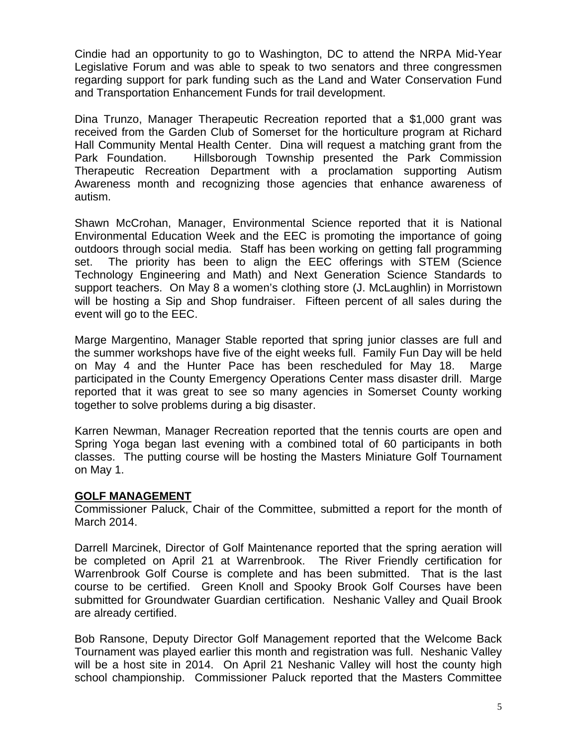Cindie had an opportunity to go to Washington, DC to attend the NRPA Mid-Year Legislative Forum and was able to speak to two senators and three congressmen regarding support for park funding such as the Land and Water Conservation Fund and Transportation Enhancement Funds for trail development.

Dina Trunzo, Manager Therapeutic Recreation reported that a \$1,000 grant was received from the Garden Club of Somerset for the horticulture program at Richard Hall Community Mental Health Center. Dina will request a matching grant from the Park Foundation. Hillsborough Township presented the Park Commission Therapeutic Recreation Department with a proclamation supporting Autism Awareness month and recognizing those agencies that enhance awareness of autism.

Shawn McCrohan, Manager, Environmental Science reported that it is National Environmental Education Week and the EEC is promoting the importance of going outdoors through social media. Staff has been working on getting fall programming set. The priority has been to align the EEC offerings with STEM (Science Technology Engineering and Math) and Next Generation Science Standards to support teachers. On May 8 a women's clothing store (J. McLaughlin) in Morristown will be hosting a Sip and Shop fundraiser. Fifteen percent of all sales during the event will go to the EEC.

Marge Margentino, Manager Stable reported that spring junior classes are full and the summer workshops have five of the eight weeks full. Family Fun Day will be held on May 4 and the Hunter Pace has been rescheduled for May 18. Marge participated in the County Emergency Operations Center mass disaster drill. Marge reported that it was great to see so many agencies in Somerset County working together to solve problems during a big disaster.

Karren Newman, Manager Recreation reported that the tennis courts are open and Spring Yoga began last evening with a combined total of 60 participants in both classes. The putting course will be hosting the Masters Miniature Golf Tournament on May 1.

#### **GOLF MANAGEMENT**

Commissioner Paluck, Chair of the Committee, submitted a report for the month of March 2014.

Darrell Marcinek, Director of Golf Maintenance reported that the spring aeration will be completed on April 21 at Warrenbrook. The River Friendly certification for Warrenbrook Golf Course is complete and has been submitted. That is the last course to be certified. Green Knoll and Spooky Brook Golf Courses have been submitted for Groundwater Guardian certification. Neshanic Valley and Quail Brook are already certified.

Bob Ransone, Deputy Director Golf Management reported that the Welcome Back Tournament was played earlier this month and registration was full. Neshanic Valley will be a host site in 2014. On April 21 Neshanic Valley will host the county high school championship. Commissioner Paluck reported that the Masters Committee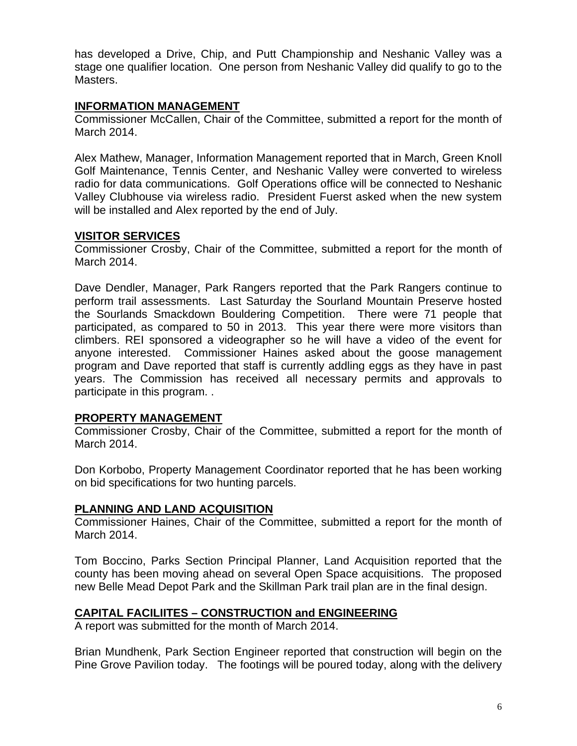has developed a Drive, Chip, and Putt Championship and Neshanic Valley was a stage one qualifier location. One person from Neshanic Valley did qualify to go to the Masters.

## **INFORMATION MANAGEMENT**

Commissioner McCallen, Chair of the Committee, submitted a report for the month of March 2014.

Alex Mathew, Manager, Information Management reported that in March, Green Knoll Golf Maintenance, Tennis Center, and Neshanic Valley were converted to wireless radio for data communications. Golf Operations office will be connected to Neshanic Valley Clubhouse via wireless radio. President Fuerst asked when the new system will be installed and Alex reported by the end of July.

## **VISITOR SERVICES**

Commissioner Crosby, Chair of the Committee, submitted a report for the month of March 2014.

Dave Dendler, Manager, Park Rangers reported that the Park Rangers continue to perform trail assessments. Last Saturday the Sourland Mountain Preserve hosted the Sourlands Smackdown Bouldering Competition. There were 71 people that participated, as compared to 50 in 2013. This year there were more visitors than climbers. REI sponsored a videographer so he will have a video of the event for anyone interested. Commissioner Haines asked about the goose management program and Dave reported that staff is currently addling eggs as they have in past years. The Commission has received all necessary permits and approvals to participate in this program. .

# **PROPERTY MANAGEMENT**

Commissioner Crosby, Chair of the Committee, submitted a report for the month of March 2014.

Don Korbobo, Property Management Coordinator reported that he has been working on bid specifications for two hunting parcels.

# **PLANNING AND LAND ACQUISITION**

Commissioner Haines, Chair of the Committee, submitted a report for the month of March 2014.

Tom Boccino, Parks Section Principal Planner, Land Acquisition reported that the county has been moving ahead on several Open Space acquisitions. The proposed new Belle Mead Depot Park and the Skillman Park trail plan are in the final design.

# **CAPITAL FACILIITES – CONSTRUCTION and ENGINEERING**

A report was submitted for the month of March 2014.

Brian Mundhenk, Park Section Engineer reported that construction will begin on the Pine Grove Pavilion today. The footings will be poured today, along with the delivery